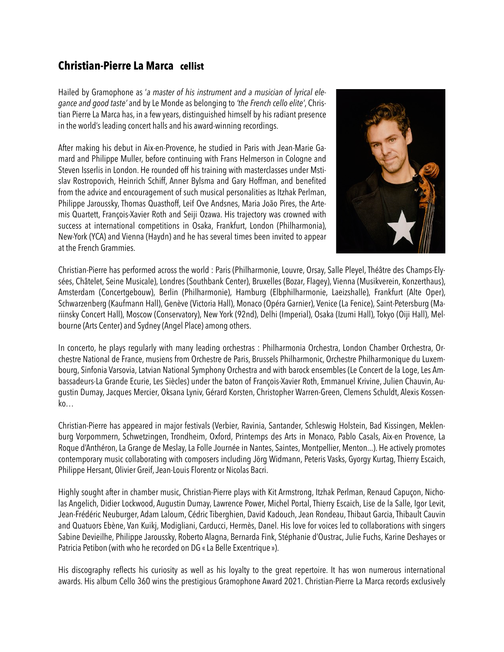## **Christian-Pierre La Marca cellist**

Hailed by Gramophone as '*a master of his instrument and a musician of lyrical elegance and good taste'* and by Le Monde as belonging to *'the French cello elite'*, Christian Pierre La Marca has, in a few years, distinguished himself by his radiant presence in the world's leading concert halls and his award-winning recordings.

After making his debut in Aix-en-Provence, he studied in Paris with Jean-Marie Gamard and Philippe Muller, before continuing with Frans Helmerson in Cologne and Steven Isserlis in London. He rounded off his training with masterclasses under Mstislav Rostropovich, Heinrich Schiff, Anner Bylsma and Gary Hoffman, and benefited from the advice and encouragement of such musical personalities as Itzhak Perlman, Philippe Jaroussky, Thomas Quasthoff, Leif Ove Andsnes, Maria João Pires, the Artemis Quartett, François-Xavier Roth and Seiji Ozawa. His trajectory was crowned with success at international competitions in Osaka, Frankfurt, London (Philharmonia), New-York (YCA) and Vienna (Haydn) and he has several times been invited to appear at the French Grammies.



Christian-Pierre has performed across the world : Paris (Philharmonie, Louvre, Orsay, Salle Pleyel, Théâtre des Champs-Elysées, Châtelet, Seine Musicale), Londres (Southbank Center), Bruxelles (Bozar, Flagey), Vienna (Musikverein, Konzerthaus), Amsterdam (Concertgebouw), Berlin (Philharmonie), Hamburg (Elbphilharmonie, Laeizshalle), Frankfurt (Alte Oper), Schwarzenberg (Kaufmann Hall), Genève (Victoria Hall), Monaco (Opéra Garnier), Venice (La Fenice), Saint-Petersburg (Mariinsky Concert Hall), Moscow (Conservatory), New York (92nd), Delhi (Imperial), Osaka (Izumi Hall), Tokyo (Oiji Hall), Melbourne (Arts Center) and Sydney (Angel Place) among others.

In concerto, he plays regularly with many leading orchestras : Philharmonia Orchestra, London Chamber Orchestra, Orchestre National de France, musiens from Orchestre de Paris, Brussels Philharmonic, Orchestre Philharmonique du Luxembourg, Sinfonia Varsovia, Latvian National Symphony Orchestra and with barock ensembles (Le Concert de la Loge, Les Ambassadeurs-La Grande Ecurie, Les Siècles) under the baton of François-Xavier Roth, Emmanuel Krivine, Julien Chauvin, Augustin Dumay, Jacques Mercier, Oksana Lyniv, Gérard Korsten, Christopher Warren-Green, Clemens Schuldt, Alexis Kossenko…

Christian-Pierre has appeared in major festivals (Verbier, Ravinia, Santander, Schleswig Holstein, Bad Kissingen, Meklenburg Vorpommern, Schwetzingen, Trondheim, Oxford, Printemps des Arts in Monaco, Pablo Casals, Aix-en Provence, La Roque d'Anthéron, La Grange de Meslay, La Folle Journée in Nantes, Saintes, Montpellier, Menton...). He actively promotes contemporary music collaborating with composers including Jörg Widmann, Peteris Vasks, Gyorgy Kurtag, Thierry Escaich, Philippe Hersant, Olivier Greif, Jean-Louis Florentz or Nicolas Bacri.

Highly sought after in chamber music, Christian-Pierre plays with Kit Armstrong, Itzhak Perlman, Renaud Capuçon, Nicholas Angelich, Didier Lockwood, Augustin Dumay, Lawrence Power, Michel Portal, Thierry Escaich, Lise de la Salle, Igor Levit, Jean-Frédéric Neuburger, Adam Laloum, Cédric Tiberghien, David Kadouch, Jean Rondeau, Thibaut Garcia, Thibault Cauvin and Quatuors Ebène, Van Kuikj, Modigliani, Carducci, Hermès, Danel. His love for voices led to collaborations with singers Sabine Devieilhe, Philippe Jaroussky, Roberto Alagna, Bernarda Fink, Stéphanie d'Oustrac, Julie Fuchs, Karine Deshayes or Patricia Petibon (with who he recorded on DG « La Belle Excentrique »).

His discography reflects his curiosity as well as his loyalty to the great repertoire. It has won numerous international awards. His album Cello 360 wins the prestigious Gramophone Award 2021. Christian-Pierre La Marca records exclusively